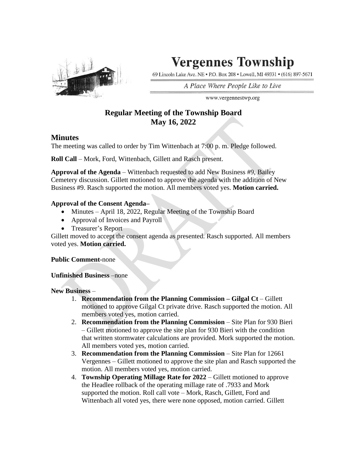

# **Vergennes Township**

69 Lincoln Lake Ave. NE . P.O. Box 208 . Lowell, MI 49331 . (616) 897-5671

A Place Where People Like to Live

www.vergennestwp.org

# **Regular Meeting of the Township Board May 16, 2022**

## **Minutes**

The meeting was called to order by Tim Wittenbach at 7:00 p. m. Pledge followed.

**Roll Call** – Mork, Ford, Wittenbach, Gillett and Rasch present.

**Approval of the Agenda** – Wittenbach requested to add New Business #9, Bailey Cemetery discussion. Gillett motioned to approve the agenda with the addition of New Business #9. Rasch supported the motion. All members voted yes. **Motion carried.** 

## **Approval of the Consent Agenda–**

- Minutes April 18, 2022, Regular Meeting of the Township Board
- Approval of Invoices and Payroll
- Treasurer's Report

Gillett moved to accept the consent agenda as presented. Rasch supported. All members voted yes. **Motion carried.**

### **Public Comment-**none

### **Unfinished Business** –none

**New Business** –

- 1. **Recommendation from the Planning Commission – Gilgal Ct** Gillett motioned to approve Gilgal Ct private drive. Rasch supported the motion. All members voted yes, motion carried.
- 2. **Recommendation from the Planning Commission**  Site Plan for 930 Bieri – Gillett motioned to approve the site plan for 930 Bieri with the condition that written stormwater calculations are provided. Mork supported the motion. All members voted yes, motion carried.
- 3. **Recommendation from the Planning Commission**  Site Plan for 12661 Vergennes – Gillett motioned to approve the site plan and Rasch supported the motion. All members voted yes, motion carried.
- 4. **Township Operating Millage Rate for 2022**  Gillett motioned to approve the Headlee rollback of the operating millage rate of .7933 and Mork supported the motion. Roll call vote – Mork, Rasch, Gillett, Ford and Wittenbach all voted yes, there were none opposed, motion carried. Gillett